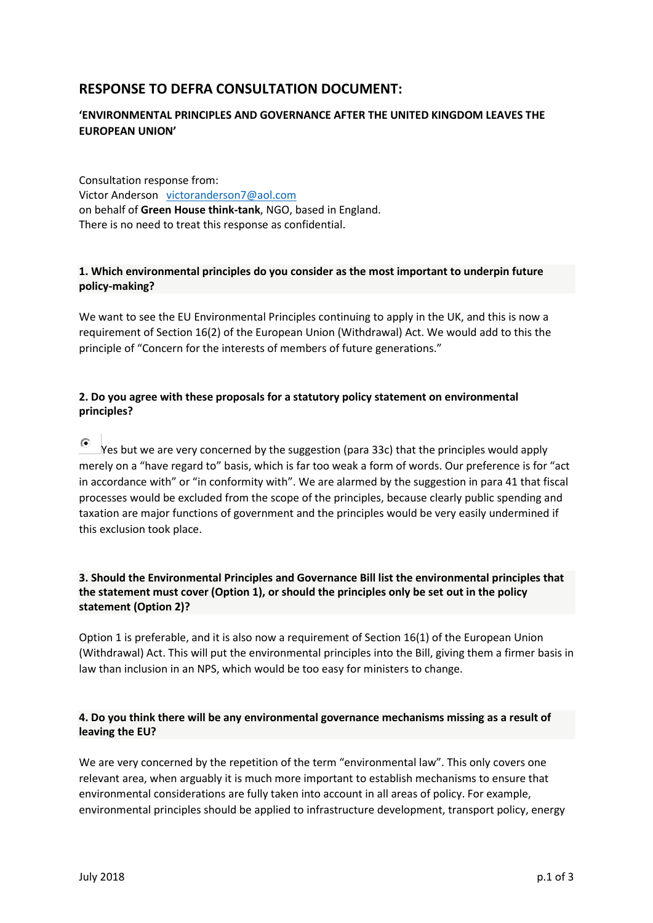# **RESPONSE TO DEFRA CONSULTATION DOCUMENT:**

## **'ENVIRONMENTAL PRINCIPLES AND GOVERNANCE AFTER THE UNITED KINGDOM LEAVES THE EUROPEAN UNION'**

Consultation response from: Victor Anderson [victoranderson7@aol.com](mailto:victoranderson7@aol.com) on behalf of **Green House think-tank**, NGO, based in England. There is no need to treat this response as confidential.

## **1. Which environmental principles do you consider as the most important to underpin future policy-making?**

We want to see the EU Environmental Principles continuing to apply in the UK, and this is now a requirement of Section 16(2) of the European Union (Withdrawal) Act. We would add to this the principle of "Concern for the interests of members of future generations."

## **2. Do you agree with these proposals for a statutory policy statement on environmental principles?**

 $\epsilon$ Yes but we are very concerned by the suggestion (para 33c) that the principles would apply merely on a "have regard to" basis, which is far too weak a form of words. Our preference is for "act in accordance with" or "in conformity with". We are alarmed by the suggestion in para 41 that fiscal processes would be excluded from the scope of the principles, because clearly public spending and taxation are major functions of government and the principles would be very easily undermined if this exclusion took place.

### **3. Should the Environmental Principles and Governance Bill list the environmental principles that the statement must cover (Option 1), or should the principles only be set out in the policy statement (Option 2)?**

Option 1 is preferable, and it is also now a requirement of Section 16(1) of the European Union (Withdrawal) Act. This will put the environmental principles into the Bill, giving them a firmer basis in law than inclusion in an NPS, which would be too easy for ministers to change.

#### **4. Do you think there will be any environmental governance mechanisms missing as a result of leaving the EU?**

We are very concerned by the repetition of the term "environmental law". This only covers one relevant area, when arguably it is much more important to establish mechanisms to ensure that environmental considerations are fully taken into account in all areas of policy. For example, environmental principles should be applied to infrastructure development, transport policy, energy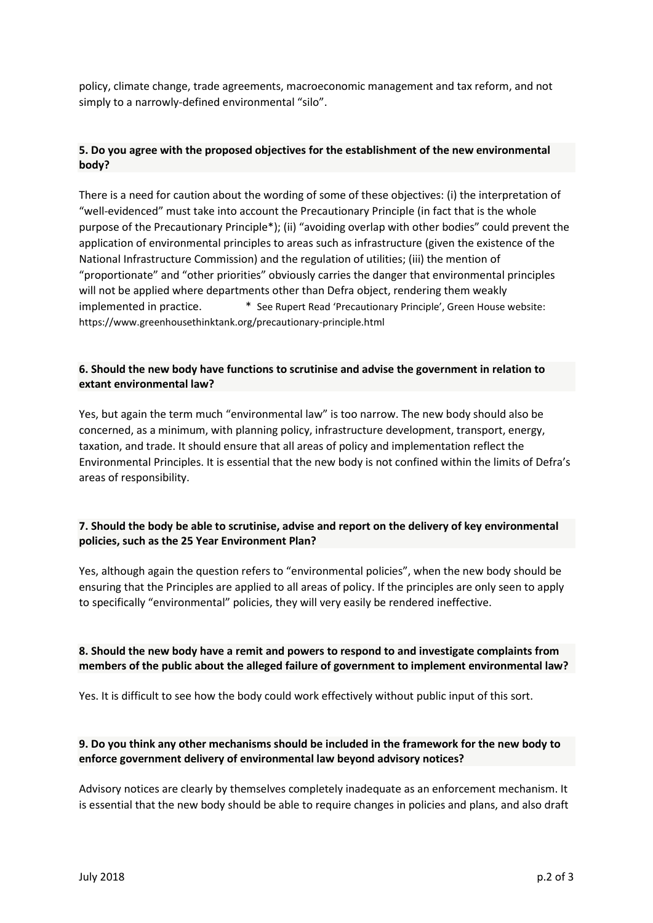policy, climate change, trade agreements, macroeconomic management and tax reform, and not simply to a narrowly-defined environmental "silo".

## **5. Do you agree with the proposed objectives for the establishment of the new environmental body?**

There is a need for caution about the wording of some of these objectives: (i) the interpretation of "well-evidenced" must take into account the Precautionary Principle (in fact that is the whole purpose of the Precautionary Principle\*); (ii) "avoiding overlap with other bodies" could prevent the application of environmental principles to areas such as infrastructure (given the existence of the National Infrastructure Commission) and the regulation of utilities; (iii) the mention of "proportionate" and "other priorities" obviously carries the danger that environmental principles will not be applied where departments other than Defra object, rendering them weakly implemented in practice. \* \* See Rupert Read 'Precautionary Principle', Green House website: https://www.greenhousethinktank.org/precautionary-principle.html

#### **6. Should the new body have functions to scrutinise and advise the government in relation to extant environmental law?**

Yes, but again the term much "environmental law" is too narrow. The new body should also be concerned, as a minimum, with planning policy, infrastructure development, transport, energy, taxation, and trade. It should ensure that all areas of policy and implementation reflect the Environmental Principles. It is essential that the new body is not confined within the limits of Defra's areas of responsibility.

#### **7. Should the body be able to scrutinise, advise and report on the delivery of key environmental policies, such as the 25 Year Environment Plan?**

Yes, although again the question refers to "environmental policies", when the new body should be ensuring that the Principles are applied to all areas of policy. If the principles are only seen to apply to specifically "environmental" policies, they will very easily be rendered ineffective.

## **8. Should the new body have a remit and powers to respond to and investigate complaints from members of the public about the alleged failure of government to implement environmental law?**

Yes. It is difficult to see how the body could work effectively without public input of this sort.

## **9. Do you think any other mechanisms should be included in the framework for the new body to enforce government delivery of environmental law beyond advisory notices?**

Advisory notices are clearly by themselves completely inadequate as an enforcement mechanism. It is essential that the new body should be able to require changes in policies and plans, and also draft